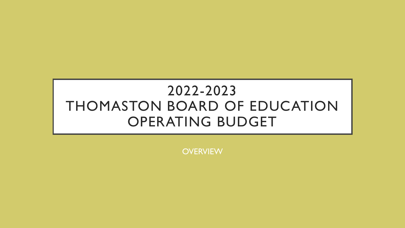# 2022-2023 THOMASTON BOARD OF EDUCATION OPERATING BUDGET

**OVERVIEW**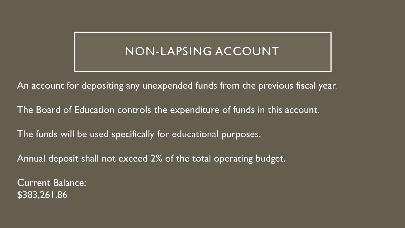## NON-LAPSING ACCOUNT

An account for depositing any unexpended funds from the previous fiscal year.

The Board of Education controls the expenditure of funds in this account.

The funds will be used specifically for educational purposes.

Annual deposit shall not exceed 2% of the total operating budget.

Current Balance: \$383,261.86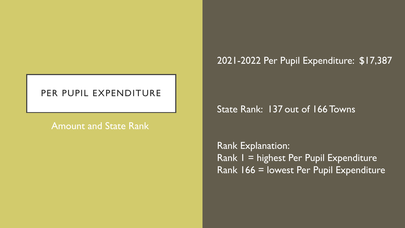#### PER PUPIL EXPENDITURE

#### Amount and State Rank

#### 2021-2022 Per Pupil Expenditure: \$17,387

#### State Rank: 137 out of 166 Towns

Rank Explanation: Rank 1 = highest Per Pupil Expenditure Rank 166 = lowest Per Pupil Expenditure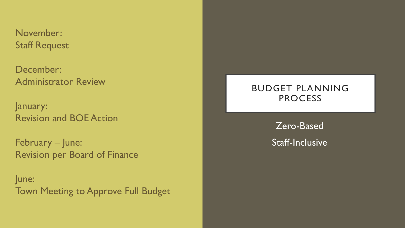November: Staff Request

December: Administrator Review

January: Revision and BOE Action

February – June: Revision per Board of Finance

June: Town Meeting to Approve Full Budget

#### BUDGET PLANNING PROCESS

Zero-Based Staff-Inclusive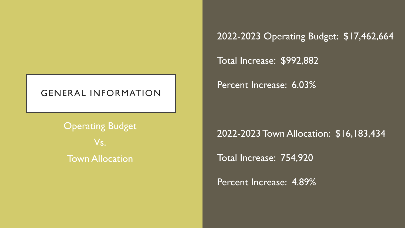#### GENERAL INFORMATION

**Operating Budget** Vs. Town Allocation

2022-2023 Operating Budget: \$17,462,664

Total Increase: \$992,882

Percent Increase: 6.03%

2022-2023 Town Allocation: \$16,183,434

Total Increase: 754,920

Percent Increase: 4.89%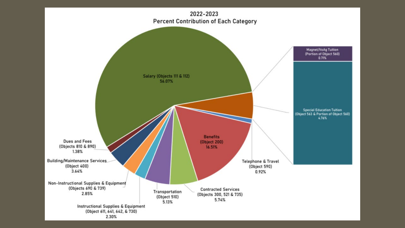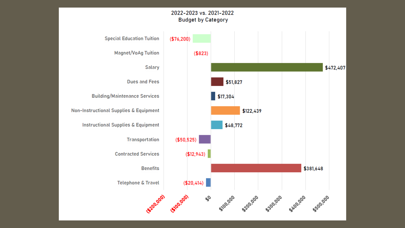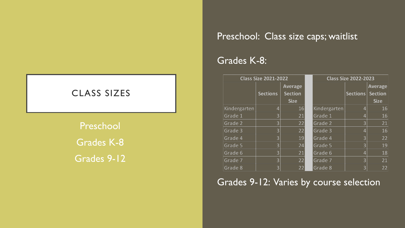#### Preschool: Class size caps; waitlist

#### Grades K-8:

| <b>Class Size 2021-2022</b> |                 |                | <b>Class Size 2022-2023</b> |                 |                |
|-----------------------------|-----------------|----------------|-----------------------------|-----------------|----------------|
|                             |                 | Average        |                             |                 | <b>Average</b> |
|                             | <b>Sections</b> | <b>Section</b> |                             | <b>Sections</b> | <b>Section</b> |
|                             |                 | <b>Size</b>    |                             |                 | <b>Size</b>    |
| Kindergarten                | 4               | 16             | Kindergarten                | 4               | 16             |
| Grade 1                     | 3               | 21             | Grade 1                     | 4               | 16             |
| Grade 2                     | 3               | 22             | Grade 2                     | 3               | 21             |
| Grade 3                     | 3               | 22             | Grade 3                     |                 | 16             |
| Grade 4                     | 3               | 19             | Grade 4                     | 3               | 22             |
| Grade 5                     | 3               | 24             | Grade 5                     | 3               | 19             |
| Grade 6                     | 3               | 21             | Grade 6                     | 4               | 18             |
| Grade 7                     | 3               | 22             | Grade 7                     | 3               | 21             |
| Grade 8                     | 3               | 22             | Grade 8                     | 3               | 22             |

### Grades 9-12: Varies by course selection

# CLASS SIZES Preschool Grades K-8 Grades 9-12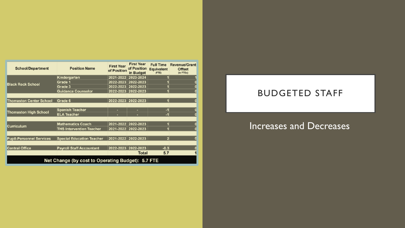| <b>School/Department</b>                          | <b>Position Name</b>             | <b>First Year</b><br>of Position | <b>First Year</b><br>of Position<br>in Budget | <b>Full Time</b><br><b>Equivalent</b><br>(FTE) | <b>Revenue/Grant</b><br><b>Offset</b><br>(in FTEs) |  |  |  |
|---------------------------------------------------|----------------------------------|----------------------------------|-----------------------------------------------|------------------------------------------------|----------------------------------------------------|--|--|--|
| <b>Black Rock School</b>                          | Kindergarten                     |                                  | 2021-2022 2023-2024                           |                                                |                                                    |  |  |  |
|                                                   | Grade 1                          |                                  | 2022-2023 2022-2023                           |                                                |                                                    |  |  |  |
|                                                   | Grade 3                          | 2022-2023                        | 2022-2023                                     |                                                |                                                    |  |  |  |
|                                                   | <b>Guidance Counselor</b>        | 2022-2023                        | 2022-2023                                     |                                                |                                                    |  |  |  |
|                                                   |                                  |                                  |                                               |                                                |                                                    |  |  |  |
| <b>Thomaston Center School</b>                    | Grade 6                          |                                  | 2022-2023 2022-2023                           |                                                |                                                    |  |  |  |
|                                                   |                                  |                                  |                                               |                                                |                                                    |  |  |  |
| <b>Thomaston High School</b>                      | <b>Spanish Teacher</b>           | н                                | ۰                                             | $-1$                                           |                                                    |  |  |  |
|                                                   | <b>ELA Teacher</b>               | ۰                                | ۰                                             | -1                                             |                                                    |  |  |  |
|                                                   |                                  |                                  |                                               |                                                |                                                    |  |  |  |
| <b>Curriculum</b>                                 | <b>Mathematics Coach</b>         | 2021-2022                        | 2022-2023                                     |                                                |                                                    |  |  |  |
|                                                   | <b>THS Intervention Teacher</b>  |                                  | 2021-2022 2022-2023                           |                                                |                                                    |  |  |  |
|                                                   |                                  |                                  |                                               |                                                |                                                    |  |  |  |
| <b>Pupil-Personnel Services</b>                   | <b>Special Education Teacher</b> |                                  | 2021-2022 2022-2023                           | $\overline{2}$                                 |                                                    |  |  |  |
|                                                   |                                  |                                  |                                               |                                                |                                                    |  |  |  |
| <b>Central Office</b>                             | <b>Payroll Staff Accountant</b>  |                                  | 2022-2023 2022-2023                           | $-0.3$                                         |                                                    |  |  |  |
|                                                   |                                  |                                  | <b>Total</b>                                  | 5.7                                            |                                                    |  |  |  |
| Net Change (by cost to Operating Budget): 5.7 FTE |                                  |                                  |                                               |                                                |                                                    |  |  |  |

#### BUDGETED STAFF

#### Increases and Decreases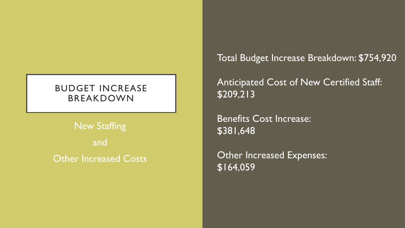#### BUDGET INCREASE BREAKDOWN

New Staffing and Other Increased Costs Total Budget Increase Breakdown: \$754,920

Anticipated Cost of New Certified Staff: \$209,213

Benefits Cost Increase: \$381,648

Other Increased Expenses:  $\overline{$164,059}$